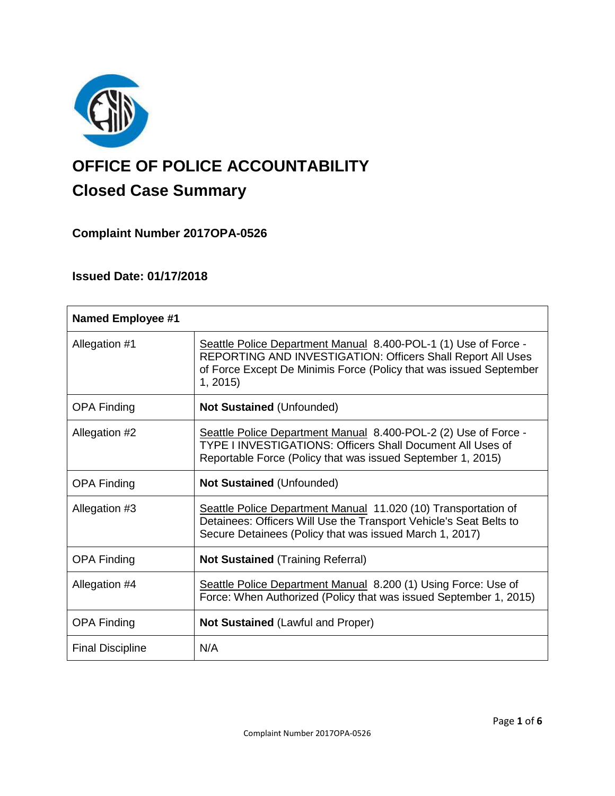

# **OFFICE OF POLICE ACCOUNTABILITY**

# **Closed Case Summary**

# **Complaint Number 2017OPA-0526**

# **Issued Date: 01/17/2018**

| <b>Named Employee #1</b> |                                                                                                                                                                                                                        |
|--------------------------|------------------------------------------------------------------------------------------------------------------------------------------------------------------------------------------------------------------------|
| Allegation #1            | Seattle Police Department Manual 8.400-POL-1 (1) Use of Force -<br><b>REPORTING AND INVESTIGATION: Officers Shall Report All Uses</b><br>of Force Except De Minimis Force (Policy that was issued September<br>1, 2015 |
| <b>OPA Finding</b>       | <b>Not Sustained (Unfounded)</b>                                                                                                                                                                                       |
| Allegation #2            | Seattle Police Department Manual 8.400-POL-2 (2) Use of Force -<br><b>TYPE I INVESTIGATIONS: Officers Shall Document All Uses of</b><br>Reportable Force (Policy that was issued September 1, 2015)                    |
| <b>OPA Finding</b>       | <b>Not Sustained (Unfounded)</b>                                                                                                                                                                                       |
| Allegation #3            | Seattle Police Department Manual 11.020 (10) Transportation of<br>Detainees: Officers Will Use the Transport Vehicle's Seat Belts to<br>Secure Detainees (Policy that was issued March 1, 2017)                        |
| <b>OPA Finding</b>       | <b>Not Sustained (Training Referral)</b>                                                                                                                                                                               |
| Allegation #4            | Seattle Police Department Manual 8.200 (1) Using Force: Use of<br>Force: When Authorized (Policy that was issued September 1, 2015)                                                                                    |
| <b>OPA Finding</b>       | <b>Not Sustained (Lawful and Proper)</b>                                                                                                                                                                               |
| <b>Final Discipline</b>  | N/A                                                                                                                                                                                                                    |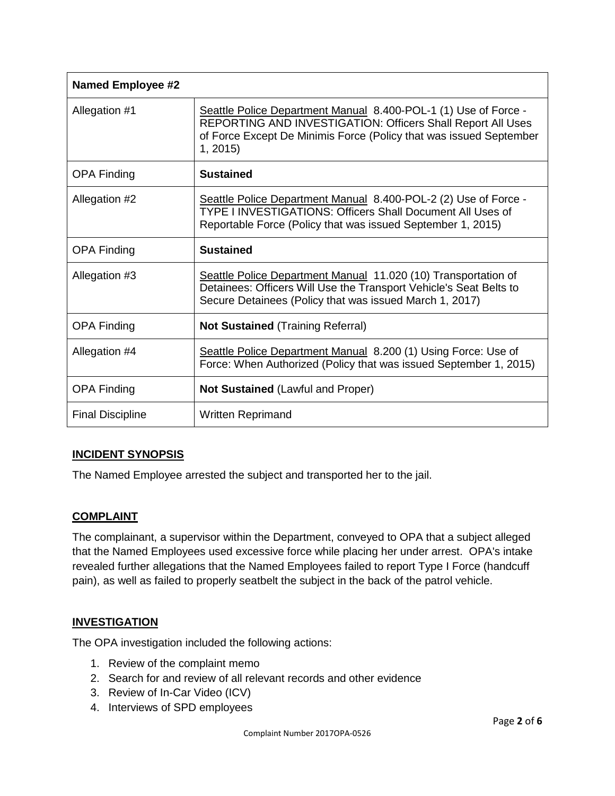| <b>Named Employee #2</b> |                                                                                                                                                                                                                 |
|--------------------------|-----------------------------------------------------------------------------------------------------------------------------------------------------------------------------------------------------------------|
| Allegation #1            | Seattle Police Department Manual 8.400-POL-1 (1) Use of Force -<br>REPORTING AND INVESTIGATION: Officers Shall Report All Uses<br>of Force Except De Minimis Force (Policy that was issued September<br>1, 2015 |
| <b>OPA Finding</b>       | <b>Sustained</b>                                                                                                                                                                                                |
| Allegation #2            | Seattle Police Department Manual 8.400-POL-2 (2) Use of Force -<br>TYPE I INVESTIGATIONS: Officers Shall Document All Uses of<br>Reportable Force (Policy that was issued September 1, 2015)                    |
| <b>OPA Finding</b>       | <b>Sustained</b>                                                                                                                                                                                                |
| Allegation #3            | Seattle Police Department Manual 11.020 (10) Transportation of<br>Detainees: Officers Will Use the Transport Vehicle's Seat Belts to<br>Secure Detainees (Policy that was issued March 1, 2017)                 |
| <b>OPA Finding</b>       | <b>Not Sustained (Training Referral)</b>                                                                                                                                                                        |
| Allegation #4            | Seattle Police Department Manual 8.200 (1) Using Force: Use of<br>Force: When Authorized (Policy that was issued September 1, 2015)                                                                             |
| <b>OPA Finding</b>       | <b>Not Sustained (Lawful and Proper)</b>                                                                                                                                                                        |
| <b>Final Discipline</b>  | Written Reprimand                                                                                                                                                                                               |

#### **INCIDENT SYNOPSIS**

The Named Employee arrested the subject and transported her to the jail.

#### **COMPLAINT**

The complainant, a supervisor within the Department, conveyed to OPA that a subject alleged that the Named Employees used excessive force while placing her under arrest. OPA's intake revealed further allegations that the Named Employees failed to report Type I Force (handcuff pain), as well as failed to properly seatbelt the subject in the back of the patrol vehicle.

#### **INVESTIGATION**

The OPA investigation included the following actions:

- 1. Review of the complaint memo
- 2. Search for and review of all relevant records and other evidence
- 3. Review of In-Car Video (ICV)
- 4. Interviews of SPD employees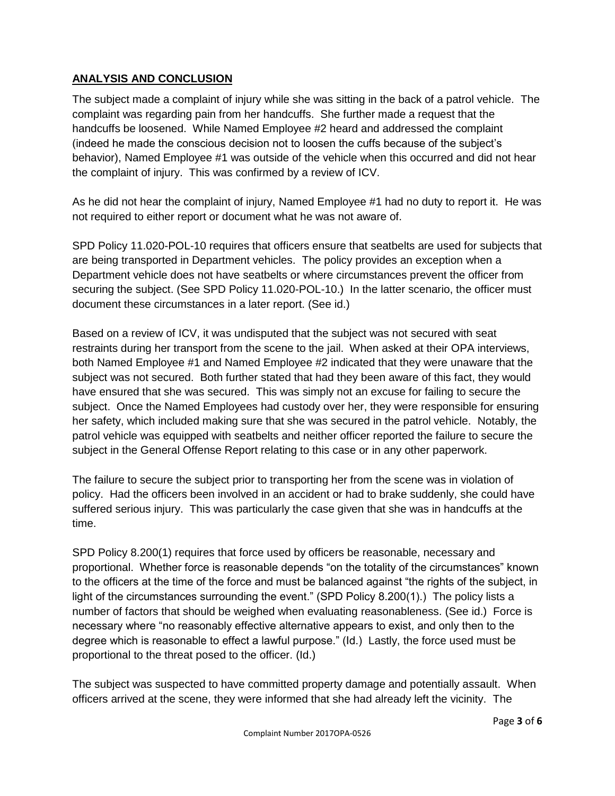#### **ANALYSIS AND CONCLUSION**

The subject made a complaint of injury while she was sitting in the back of a patrol vehicle. The complaint was regarding pain from her handcuffs. She further made a request that the handcuffs be loosened. While Named Employee #2 heard and addressed the complaint (indeed he made the conscious decision not to loosen the cuffs because of the subject's behavior), Named Employee #1 was outside of the vehicle when this occurred and did not hear the complaint of injury. This was confirmed by a review of ICV.

As he did not hear the complaint of injury, Named Employee #1 had no duty to report it. He was not required to either report or document what he was not aware of.

SPD Policy 11.020-POL-10 requires that officers ensure that seatbelts are used for subjects that are being transported in Department vehicles. The policy provides an exception when a Department vehicle does not have seatbelts or where circumstances prevent the officer from securing the subject. (See SPD Policy 11.020-POL-10.) In the latter scenario, the officer must document these circumstances in a later report. (See id.)

Based on a review of ICV, it was undisputed that the subject was not secured with seat restraints during her transport from the scene to the jail. When asked at their OPA interviews, both Named Employee #1 and Named Employee #2 indicated that they were unaware that the subject was not secured. Both further stated that had they been aware of this fact, they would have ensured that she was secured. This was simply not an excuse for failing to secure the subject. Once the Named Employees had custody over her, they were responsible for ensuring her safety, which included making sure that she was secured in the patrol vehicle. Notably, the patrol vehicle was equipped with seatbelts and neither officer reported the failure to secure the subject in the General Offense Report relating to this case or in any other paperwork.

The failure to secure the subject prior to transporting her from the scene was in violation of policy. Had the officers been involved in an accident or had to brake suddenly, she could have suffered serious injury. This was particularly the case given that she was in handcuffs at the time.

SPD Policy 8.200(1) requires that force used by officers be reasonable, necessary and proportional. Whether force is reasonable depends "on the totality of the circumstances" known to the officers at the time of the force and must be balanced against "the rights of the subject, in light of the circumstances surrounding the event." (SPD Policy 8.200(1).) The policy lists a number of factors that should be weighed when evaluating reasonableness. (See id.) Force is necessary where "no reasonably effective alternative appears to exist, and only then to the degree which is reasonable to effect a lawful purpose." (Id.) Lastly, the force used must be proportional to the threat posed to the officer. (Id.)

The subject was suspected to have committed property damage and potentially assault. When officers arrived at the scene, they were informed that she had already left the vicinity. The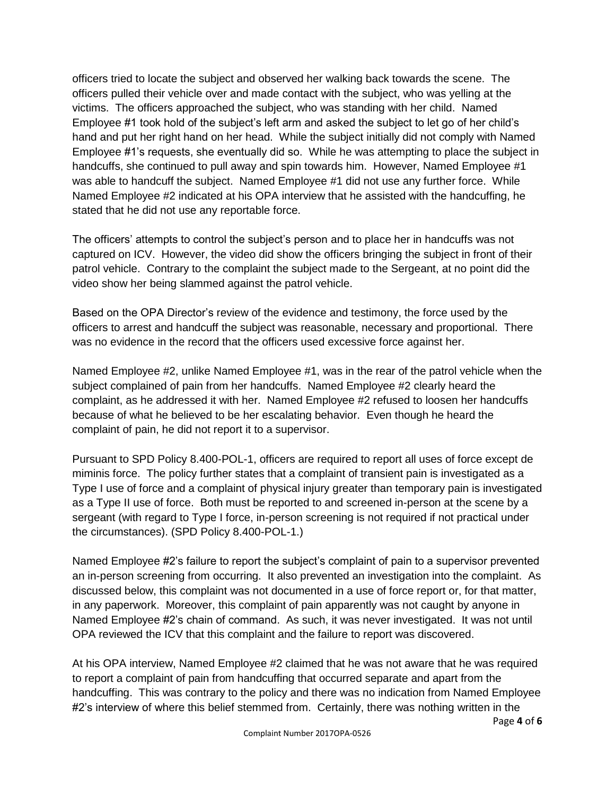officers tried to locate the subject and observed her walking back towards the scene. The officers pulled their vehicle over and made contact with the subject, who was yelling at the victims. The officers approached the subject, who was standing with her child. Named Employee #1 took hold of the subject's left arm and asked the subject to let go of her child's hand and put her right hand on her head. While the subject initially did not comply with Named Employee #1's requests, she eventually did so. While he was attempting to place the subject in handcuffs, she continued to pull away and spin towards him. However, Named Employee #1 was able to handcuff the subject. Named Employee #1 did not use any further force. While Named Employee #2 indicated at his OPA interview that he assisted with the handcuffing, he stated that he did not use any reportable force.

The officers' attempts to control the subject's person and to place her in handcuffs was not captured on ICV. However, the video did show the officers bringing the subject in front of their patrol vehicle. Contrary to the complaint the subject made to the Sergeant, at no point did the video show her being slammed against the patrol vehicle.

Based on the OPA Director's review of the evidence and testimony, the force used by the officers to arrest and handcuff the subject was reasonable, necessary and proportional. There was no evidence in the record that the officers used excessive force against her.

Named Employee #2, unlike Named Employee #1, was in the rear of the patrol vehicle when the subject complained of pain from her handcuffs. Named Employee #2 clearly heard the complaint, as he addressed it with her. Named Employee #2 refused to loosen her handcuffs because of what he believed to be her escalating behavior. Even though he heard the complaint of pain, he did not report it to a supervisor.

Pursuant to SPD Policy 8.400-POL-1, officers are required to report all uses of force except de miminis force. The policy further states that a complaint of transient pain is investigated as a Type I use of force and a complaint of physical injury greater than temporary pain is investigated as a Type II use of force. Both must be reported to and screened in-person at the scene by a sergeant (with regard to Type I force, in-person screening is not required if not practical under the circumstances). (SPD Policy 8.400-POL-1.)

Named Employee #2's failure to report the subject's complaint of pain to a supervisor prevented an in-person screening from occurring. It also prevented an investigation into the complaint. As discussed below, this complaint was not documented in a use of force report or, for that matter, in any paperwork. Moreover, this complaint of pain apparently was not caught by anyone in Named Employee #2's chain of command. As such, it was never investigated. It was not until OPA reviewed the ICV that this complaint and the failure to report was discovered.

At his OPA interview, Named Employee #2 claimed that he was not aware that he was required to report a complaint of pain from handcuffing that occurred separate and apart from the handcuffing. This was contrary to the policy and there was no indication from Named Employee #2's interview of where this belief stemmed from. Certainly, there was nothing written in the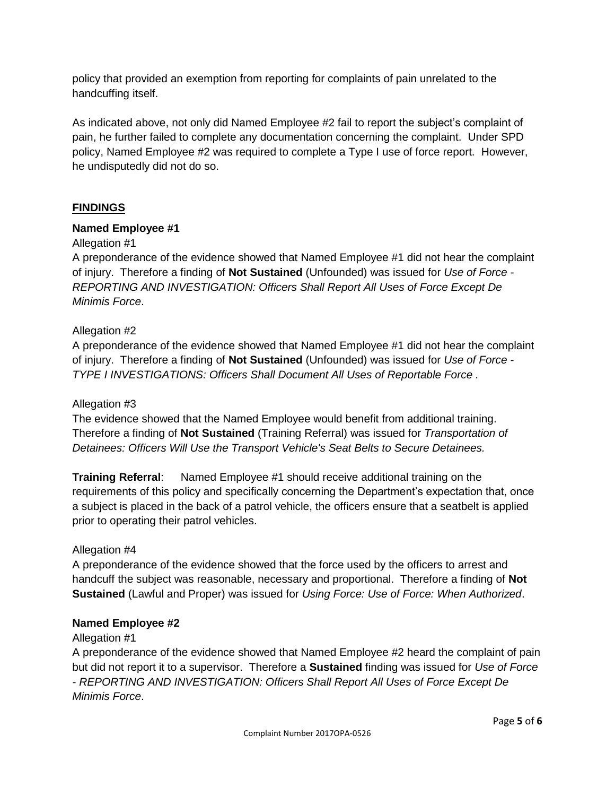policy that provided an exemption from reporting for complaints of pain unrelated to the handcuffing itself.

As indicated above, not only did Named Employee #2 fail to report the subject's complaint of pain, he further failed to complete any documentation concerning the complaint. Under SPD policy, Named Employee #2 was required to complete a Type I use of force report. However, he undisputedly did not do so.

### **FINDINGS**

#### **Named Employee #1**

#### Allegation #1

A preponderance of the evidence showed that Named Employee #1 did not hear the complaint of injury. Therefore a finding of **Not Sustained** (Unfounded) was issued for *Use of Force - REPORTING AND INVESTIGATION: Officers Shall Report All Uses of Force Except De Minimis Force*.

#### Allegation #2

A preponderance of the evidence showed that Named Employee #1 did not hear the complaint of injury. Therefore a finding of **Not Sustained** (Unfounded) was issued for *Use of Force - TYPE I INVESTIGATIONS: Officers Shall Document All Uses of Reportable Force .*

#### Allegation #3

The evidence showed that the Named Employee would benefit from additional training. Therefore a finding of **Not Sustained** (Training Referral) was issued for *Transportation of Detainees: Officers Will Use the Transport Vehicle's Seat Belts to Secure Detainees.*

**Training Referral**: Named Employee #1 should receive additional training on the requirements of this policy and specifically concerning the Department's expectation that, once a subject is placed in the back of a patrol vehicle, the officers ensure that a seatbelt is applied prior to operating their patrol vehicles.

#### Allegation #4

A preponderance of the evidence showed that the force used by the officers to arrest and handcuff the subject was reasonable, necessary and proportional. Therefore a finding of **Not Sustained** (Lawful and Proper) was issued for *Using Force: Use of Force: When Authorized*.

#### **Named Employee #2**

#### Allegation #1

A preponderance of the evidence showed that Named Employee #2 heard the complaint of pain but did not report it to a supervisor. Therefore a **Sustained** finding was issued for *Use of Force - REPORTING AND INVESTIGATION: Officers Shall Report All Uses of Force Except De Minimis Force*.